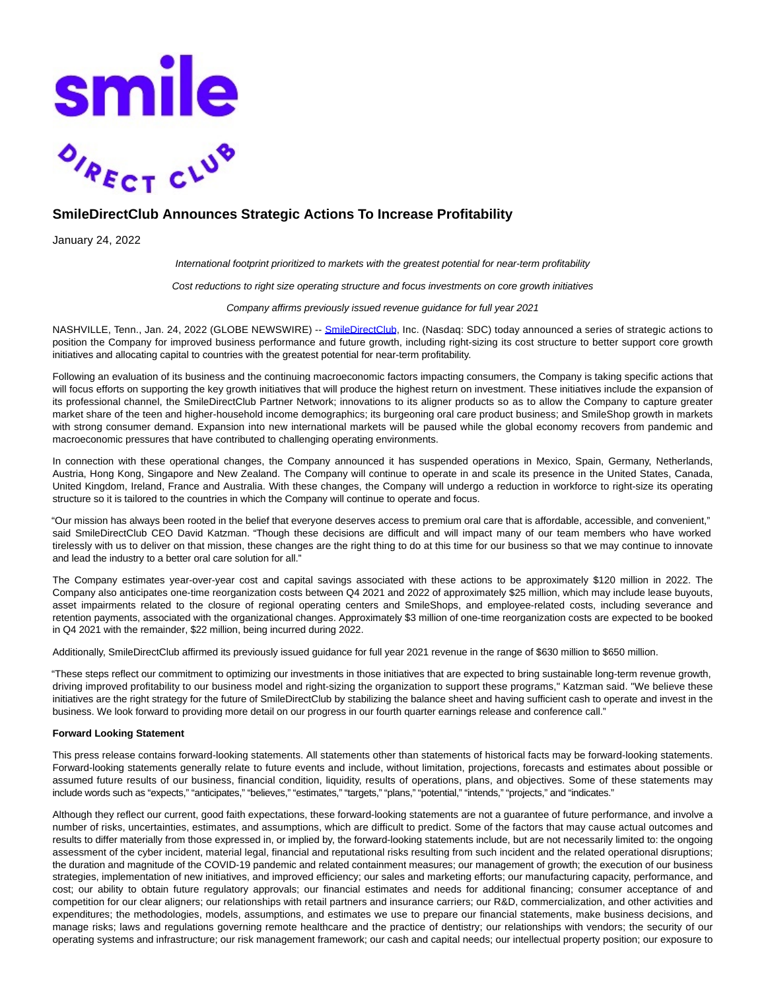



## **SmileDirectClub Announces Strategic Actions To Increase Profitability**

January 24, 2022

International footprint prioritized to markets with the greatest potential for near-term profitability

Cost reductions to right size operating structure and focus investments on core growth initiatives

Company affirms previously issued revenue guidance for full year 2021

NASHVILLE, Tenn., Jan. 24, 2022 (GLOBE NEWSWIRE) -- [SmileDirectClub,](https://www.globenewswire.com/Tracker?data=OwBbwNgsMviOkPfjfYVOgW67oZitMR1YMHkE-K2PqLsZ9TaoCm0_7jEeAG1I6klgwnwoEgDt9Lw-NDpTozkQQfwlxHlHcIO0UMsSN1l0i4R8VUWvjRIoAB9pyNUzfsYUU2FauBTBHJoyjeibIby1dXNHSgE7nkFzWfIgc3-eDNU2i1-xBq4eZmtI2IbUfTQqfA6UFouAfso7_fPwCVqskM7u-ZCSAZUQtYD3nlgVEIbK_T2pq2ktclRPW7v9T1f1) Inc. (Nasdaq: SDC) today announced a series of strategic actions to position the Company for improved business performance and future growth, including right-sizing its cost structure to better support core growth initiatives and allocating capital to countries with the greatest potential for near-term profitability.

Following an evaluation of its business and the continuing macroeconomic factors impacting consumers, the Company is taking specific actions that will focus efforts on supporting the key growth initiatives that will produce the highest return on investment. These initiatives include the expansion of its professional channel, the SmileDirectClub Partner Network; innovations to its aligner products so as to allow the Company to capture greater market share of the teen and higher-household income demographics; its burgeoning oral care product business; and SmileShop growth in markets with strong consumer demand. Expansion into new international markets will be paused while the global economy recovers from pandemic and macroeconomic pressures that have contributed to challenging operating environments.

In connection with these operational changes, the Company announced it has suspended operations in Mexico, Spain, Germany, Netherlands, Austria, Hong Kong, Singapore and New Zealand. The Company will continue to operate in and scale its presence in the United States, Canada, United Kingdom, Ireland, France and Australia. With these changes, the Company will undergo a reduction in workforce to right-size its operating structure so it is tailored to the countries in which the Company will continue to operate and focus.

"Our mission has always been rooted in the belief that everyone deserves access to premium oral care that is affordable, accessible, and convenient," said SmileDirectClub CEO David Katzman. "Though these decisions are difficult and will impact many of our team members who have worked tirelessly with us to deliver on that mission, these changes are the right thing to do at this time for our business so that we may continue to innovate and lead the industry to a better oral care solution for all."

The Company estimates year-over-year cost and capital savings associated with these actions to be approximately \$120 million in 2022. The Company also anticipates one-time reorganization costs between Q4 2021 and 2022 of approximately \$25 million, which may include lease buyouts, asset impairments related to the closure of regional operating centers and SmileShops, and employee-related costs, including severance and retention payments, associated with the organizational changes. Approximately \$3 million of one-time reorganization costs are expected to be booked in Q4 2021 with the remainder, \$22 million, being incurred during 2022.

Additionally, SmileDirectClub affirmed its previously issued guidance for full year 2021 revenue in the range of \$630 million to \$650 million.

"These steps reflect our commitment to optimizing our investments in those initiatives that are expected to bring sustainable long-term revenue growth, driving improved profitability to our business model and right-sizing the organization to support these programs," Katzman said. "We believe these initiatives are the right strategy for the future of SmileDirectClub by stabilizing the balance sheet and having sufficient cash to operate and invest in the business. We look forward to providing more detail on our progress in our fourth quarter earnings release and conference call."

## **Forward Looking Statement**

This press release contains forward-looking statements. All statements other than statements of historical facts may be forward-looking statements. Forward-looking statements generally relate to future events and include, without limitation, projections, forecasts and estimates about possible or assumed future results of our business, financial condition, liquidity, results of operations, plans, and objectives. Some of these statements may include words such as "expects," "anticipates," "believes," "estimates," "targets," "plans," "potential," "intends," "projects," and "indicates."

Although they reflect our current, good faith expectations, these forward-looking statements are not a guarantee of future performance, and involve a number of risks, uncertainties, estimates, and assumptions, which are difficult to predict. Some of the factors that may cause actual outcomes and results to differ materially from those expressed in, or implied by, the forward-looking statements include, but are not necessarily limited to: the ongoing assessment of the cyber incident, material legal, financial and reputational risks resulting from such incident and the related operational disruptions; the duration and magnitude of the COVID-19 pandemic and related containment measures; our management of growth; the execution of our business strategies, implementation of new initiatives, and improved efficiency; our sales and marketing efforts; our manufacturing capacity, performance, and cost; our ability to obtain future regulatory approvals; our financial estimates and needs for additional financing; consumer acceptance of and competition for our clear aligners; our relationships with retail partners and insurance carriers; our R&D, commercialization, and other activities and expenditures; the methodologies, models, assumptions, and estimates we use to prepare our financial statements, make business decisions, and manage risks; laws and regulations governing remote healthcare and the practice of dentistry; our relationships with vendors; the security of our operating systems and infrastructure; our risk management framework; our cash and capital needs; our intellectual property position; our exposure to